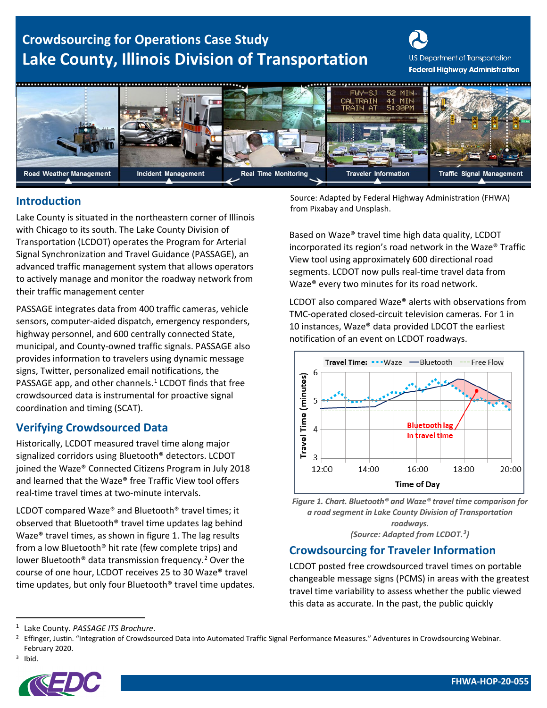# **Crowdsourcing for Operations Case Study Lake County, Illinois Division of Transportation**

U.S. Department of Transportation **Federal Highway Administration** 



#### **Introduction**

Lake County is situated in the northeastern corner of Illinois with Chicago to its south. The Lake County Division of Transportation (LCDOT) operates the Program for Arterial Signal Synchronization and Travel Guidance (PASSAGE), an advanced traffic management system that allows operators to actively manage and monitor the roadway network from their traffic management center

PASSAGE integrates data from 400 traffic cameras, vehicle sensors, computer-aided dispatch, emergency responders, highway personnel, and 600 centrally connected State, municipal, and County-owned traffic signals. PASSAGE also provides information to travelers using dynamic message signs, Twitter, personalized email notifications, the PASSAGE app, and other channels. $1$  LCDOT finds that free crowdsourced data is instrumental for proactive signal coordination and timing (SCAT).

### **Verifying Crowdsourced Data**

Historically, LCDOT measured travel time along major signalized corridors using Bluetooth® detectors. LCDOT joined the Waze® Connected Citizens Program in July 2018 and learned that the Waze® free Traffic View tool offers real-time travel times at two-minute intervals.

LCDOT compared Waze® and Bluetooth® travel times; it observed that Bluetooth® travel time updates lag behind Waze® travel times, as shown in [figure 1.](#page-0-0) The lag results from a low Bluetooth® hit rate (few complete trips) and lower Bluetooth<sup>®</sup> data transmission frequency.<sup>[2](#page-0-2)</sup> Over the course of one hour, LCDOT receives 25 to 30 Waze® travel time updates, but only four Bluetooth® travel time updates. Source: Adapted by Federal Highway Administration (FHWA) from Pixabay and Unsplash.

Based on Waze® travel time high data quality, LCDOT incorporated its region's road network in the Waze® Traffic View tool using approximately 600 directional road segments. LCDOT now pulls real-time travel data from Waze® every two minutes for its road network.

LCDOT also compared Waze® alerts with observations from TMC-operated closed-circuit television cameras. For 1 in 10 instances, Waze® data provided LDCOT the earliest notification of an event on LCDOT roadways.



<span id="page-0-0"></span>*Figure 1. Chart. Bluetooth® and Waze® travel time comparison for a road segment in Lake County Division of Transportation roadways. (Source: Adapted from LCDOT. ) [3](#page-0-3)*

### **Crowdsourcing for Traveler Information**

LCDOT posted free crowdsourced travel times on portable changeable message signs (PCMS) in areas with the greatest travel time variability to assess whether the public viewed this data as accurate. In the past, the public quickly

<span id="page-0-3"></span> $3$  Ibid.



<span id="page-0-1"></span><sup>1</sup> Lake County. *PASSAGE ITS Brochure*.

<span id="page-0-2"></span><sup>&</sup>lt;sup>2</sup> Effinger, Justin. "Integration of Crowdsourced Data into Automated Traffic Signal Performance Measures." Adventures in Crowdsourcing Webinar. February 2020.